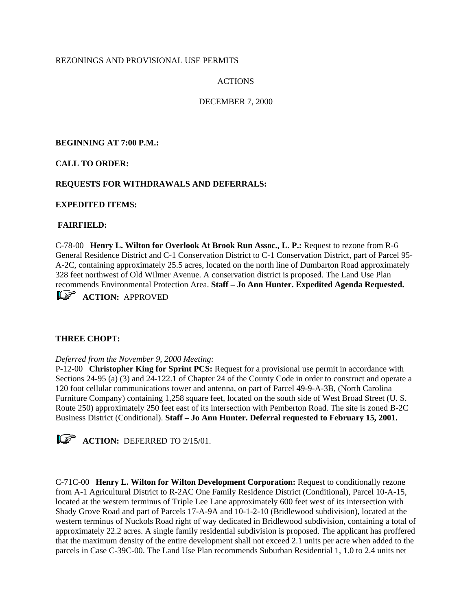### REZONINGS AND PROVISIONAL USE PERMITS

## ACTIONS

## DECEMBER 7, 2000

**BEGINNING AT 7:00 P.M.:**

**CALL TO ORDER:**

### **REQUESTS FOR WITHDRAWALS AND DEFERRALS:**

### **EXPEDITED ITEMS:**

### **FAIRFIELD:**

C-78-00 **Henry L. Wilton for Overlook At Brook Run Assoc., L. P.:** Request to rezone from R-6 General Residence District and C-1 Conservation District to C-1 Conservation District, part of Parcel 95- A-2C, containing approximately 25.5 acres, located on the north line of Dumbarton Road approximately 328 feet northwest of Old Wilmer Avenue. A conservation district is proposed. The Land Use Plan recommends Environmental Protection Area. **Staff – Jo Ann Hunter. Expedited Agenda Requested.**

**ACTION: APPROVED** 

### **THREE CHOPT:**

### *Deferred from the November 9, 2000 Meeting:*

P-12-00 **Christopher King for Sprint PCS:** Request for a provisional use permit in accordance with Sections 24-95 (a) (3) and 24-122.1 of Chapter 24 of the County Code in order to construct and operate a 120 foot cellular communications tower and antenna, on part of Parcel 49-9-A-3B, (North Carolina Furniture Company) containing 1,258 square feet, located on the south side of West Broad Street (U. S. Route 250) approximately 250 feet east of its intersection with Pemberton Road. The site is zoned B-2C Business District (Conditional). **Staff – Jo Ann Hunter. Deferral requested to February 15, 2001.** 



C-71C-00 **Henry L. Wilton for Wilton Development Corporation:** Request to conditionally rezone from A-1 Agricultural District to R-2AC One Family Residence District (Conditional), Parcel 10-A-15, located at the western terminus of Triple Lee Lane approximately 600 feet west of its intersection with Shady Grove Road and part of Parcels 17-A-9A and 10-1-2-10 (Bridlewood subdivision), located at the western terminus of Nuckols Road right of way dedicated in Bridlewood subdivision, containing a total of approximately 22.2 acres. A single family residential subdivision is proposed. The applicant has proffered that the maximum density of the entire development shall not exceed 2.1 units per acre when added to the parcels in Case C-39C-00. The Land Use Plan recommends Suburban Residential 1, 1.0 to 2.4 units net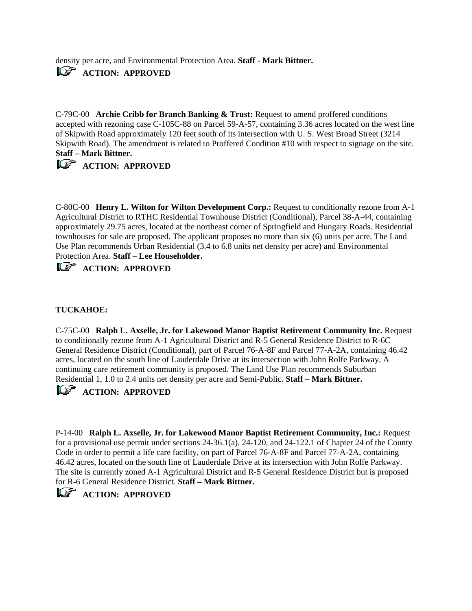density per acre, and Environmental Protection Area. **Staff - Mark Bittner.**  *ACTION: APPROVED* 

C-79C-00 **Archie Cribb for Branch Banking & Trust:** Request to amend proffered conditions accepted with rezoning case C-105C-88 on Parcel 59-A-57, containing 3.36 acres located on the west line of Skipwith Road approximately 120 feet south of its intersection with U. S. West Broad Street (3214 Skipwith Road). The amendment is related to Proffered Condition #10 with respect to signage on the site. **Staff – Mark Bittner.** 

## *ACTION: APPROVED*

C-80C-00 **Henry L. Wilton for Wilton Development Corp.:** Request to conditionally rezone from A-1 Agricultural District to RTHC Residential Townhouse District (Conditional), Parcel 38-A-44, containing approximately 29.75 acres, located at the northeast corner of Springfield and Hungary Roads. Residential townhouses for sale are proposed. The applicant proposes no more than six (6) units per acre. The Land Use Plan recommends Urban Residential (3.4 to 6.8 units net density per acre) and Environmental Protection Area. **Staff – Lee Householder.** 

*ACTION: APPROVED* 

## **TUCKAHOE:**

C-75C-00 **Ralph L. Axselle, Jr. for Lakewood Manor Baptist Retirement Community Inc.** Request to conditionally rezone from A-1 Agricultural District and R-5 General Residence District to R-6C General Residence District (Conditional), part of Parcel 76-A-8F and Parcel 77-A-2A, containing 46.42 acres, located on the south line of Lauderdale Drive at its intersection with John Rolfe Parkway. A continuing care retirement community is proposed. The Land Use Plan recommends Suburban Residential 1, 1.0 to 2.4 units net density per acre and Semi-Public. **Staff – Mark Bittner.** 

## *ACTION: APPROVED*

P-14-00 **Ralph L. Axselle, Jr. for Lakewood Manor Baptist Retirement Community, Inc.:** Request for a provisional use permit under sections 24-36.1(a), 24-120, and 24-122.1 of Chapter 24 of the County Code in order to permit a life care facility, on part of Parcel 76-A-8F and Parcel 77-A-2A, containing 46.42 acres, located on the south line of Lauderdale Drive at its intersection with John Rolfe Parkway. The site is currently zoned A-1 Agricultural District and R-5 General Residence District but is proposed for R-6 General Residence District. **Staff – Mark Bittner.** 

# **ACTION: APPROVED**